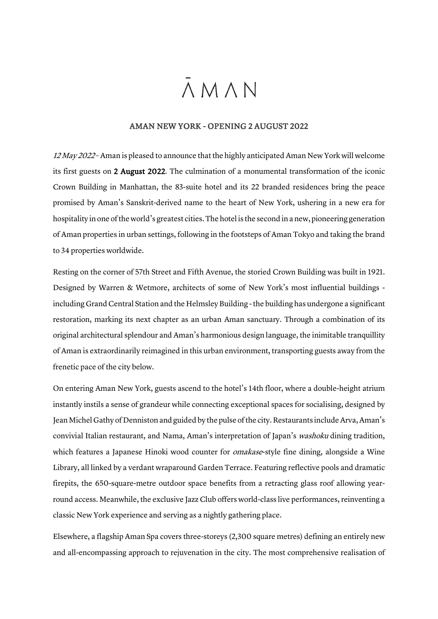## $\bar{\Lambda}$  M  $\Lambda$  N

## AMAN NEW YORK - OPENING 2 AUGUST 2022

12 May 2022 - Aman is pleased to announce that the highly anticipated Aman New York will welcome its first guests on 2 August 2022. The culmination of a monumental transformation of the iconic Crown Building in Manhattan, the 83-suite hotel and its 22 branded residences bring the peace promised by Aman's Sanskrit-derived name to the heart of New York, ushering in a new era for hospitality in one of the world's greatest cities.The hotel is the second in a new, pioneering generation of Aman properties in urban settings, following in the footsteps of Aman Tokyo and taking the brand to 34 properties worldwide.

Resting on the corner of 57th Street and Fifth Avenue, the storied Crown Building was built in 1921. Designed by Warren & Wetmore, architects of some of New York's most influential buildings including Grand Central Station and the Helmsley Building -the building has undergone a significant restoration, marking its next chapter as an urban Aman sanctuary. Through a combination of its original architectural splendour and Aman's harmonious design language, the inimitable tranquillity of Aman is extraordinarily reimagined in this urban environment, transporting guests away from the frenetic pace of the city below.

On entering Aman New York, guests ascend to the hotel's 14th floor, where a double-height atrium instantly instils a sense of grandeur while connecting exceptional spaces for socialising, designed by Jean Michel Gathy of Denniston and guided by the pulse of the city. Restaurants include Arva, Aman's convivial Italian restaurant, and Nama, Aman's interpretation of Japan's washoku dining tradition, which features a Japanese Hinoki wood counter for *omakase*-style fine dining, alongside a Wine Library, all linked by a verdant wraparound Garden Terrace. Featuring reflective pools and dramatic firepits, the 650-square-metre outdoor space benefits from a retracting glass roof allowing yearround access. Meanwhile, the exclusive Jazz Club offers world-class live performances, reinventing a classic New York experience and serving as a nightly gathering place.

Elsewhere, a flagship Aman Spa covers three-storeys (2,300 square metres) defining an entirely new and all-encompassing approach to rejuvenation in the city. The most comprehensive realisation of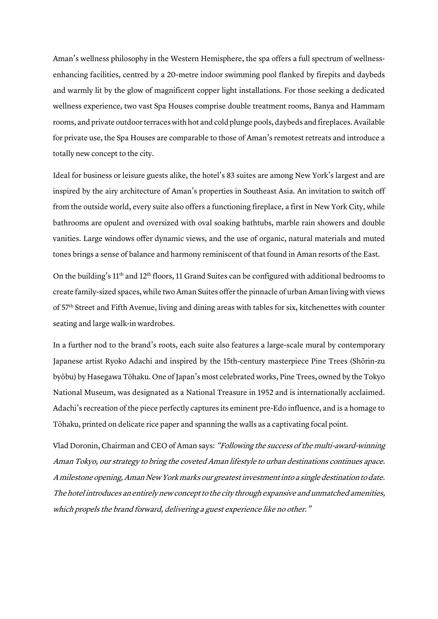Aman's wellness philosophy in the Western Hemisphere, the spa offers a full spectrum of wellnessenhancing facilities, centred by a 20-metre indoor swimming pool flanked by firepits and daybeds and warmly lit by the glow of magnificent copper light installations. For those seeking a dedicated wellness experience, two vast Spa Houses comprise double treatment rooms, Banya and Hammam rooms, and private outdoor terraces with hot and cold plunge pools, daybeds and fireplaces. Available for private use, the Spa Houses are comparable to those of Aman's remotest retreats and introduce a totally new concept to the city.

Ideal for business or leisure guests alike, the hotel's 83 suites are among New York's largest and are inspired by the airy architecture of Aman's properties in Southeast Asia. An invitation to switch off from the outside world, every suite also offers a functioning fireplace, a first in New York City, while bathrooms are opulent and oversized with oval soaking bathtubs, marble rain showers and double vanities. Large windows offer dynamic views, and the use of organic, natural materials and muted tones brings a sense of balance and harmony reminiscent of that found in Aman resorts of the East.

On the building's 11th and 12th floors, 11 Grand Suites can be configured with additional bedrooms to create family-sized spaces, while two Aman Suites offer the pinnacle of urban Aman living with views of 57th Street and Fifth Avenue, living and dining areas with tables for six, kitchenettes with counter seating and large walk-in wardrobes.

In a further nod to the brand's roots, each suite also features a large-scale mural by contemporary Japanese artist Ryoko Adachi and inspired by the 15th-century masterpiece Pine Trees (Shōrin-zu byōbu) by Hasegawa Tōhaku. One of Japan's most celebrated works, Pine Trees, owned by the Tokyo National Museum, was designated as a National Treasure in 1952 and is internationally acclaimed. Adachi's recreation of the piece perfectly captures its eminent pre-Edo influence, and is a homage to Tōhaku, printed on delicate rice paper and spanning the walls as a captivating focal point.

Vlad Doronin, Chairman and CEO of Aman says: "Following the success of the multi-award-winning Aman Tokyo, our strategy to bring the coveted Aman lifestyle to urban destinations continues apace. A milestone opening, Aman New Yorkmarks our greatest investment into a single destination to date. The hotel introduces an entirely new concept to the city through expansive and unmatched amenities, which propels the brand forward, delivering a guest experience like no other."